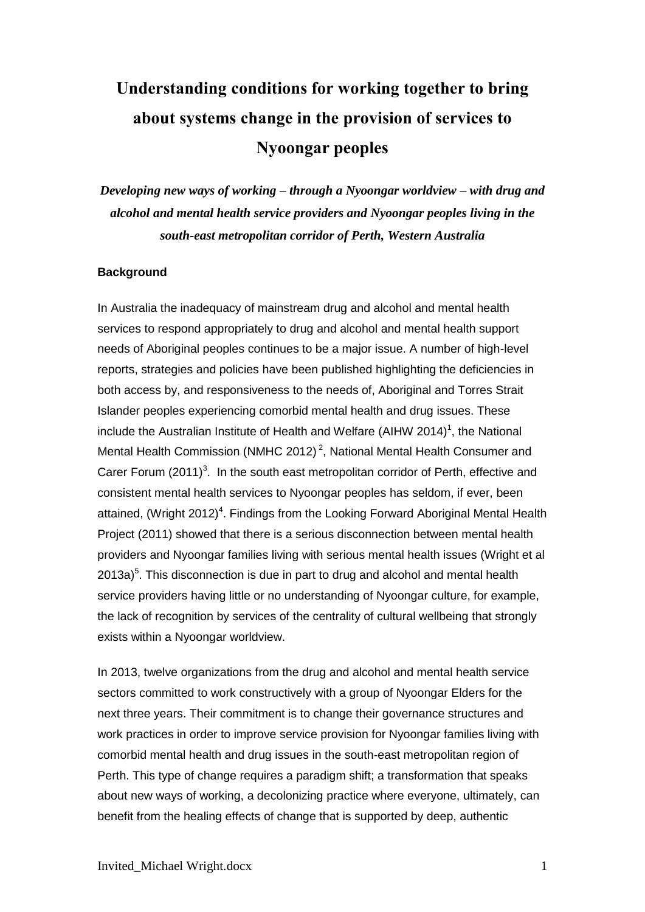# **Understanding conditions for working together to bring about systems change in the provision of services to Nyoongar peoples**

*Developing new ways of working – through a Nyoongar worldview – with drug and alcohol and mental health service providers and Nyoongar peoples living in the south-east metropolitan corridor of Perth, Western Australia*

#### **Background**

In Australia the inadequacy of mainstream drug and alcohol and mental health services to respond appropriately to drug and alcohol and mental health support needs of Aboriginal peoples continues to be a major issue. A number of high-level reports, strategies and policies have been published highlighting the deficiencies in both access by, and responsiveness to the needs of, Aboriginal and Torres Strait Islander peoples experiencing comorbid mental health and drug issues. These include the Australian Institute of Health and Welfare (AIHW 2014)<sup>1</sup>, the National Mental Health Commission (NMHC 2012)<sup>2</sup>, National Mental Health Consumer and Carer Forum  $(2011)^3$ . In the south east metropolitan corridor of Perth, effective and consistent mental health services to Nyoongar peoples has seldom, if ever, been attained, (Wright 2012)<sup>4</sup>. Findings from the Looking Forward Aboriginal Mental Health Project (2011) showed that there is a serious disconnection between mental health providers and Nyoongar families living with serious mental health issues (Wright et al  $2013a$ <sup>5</sup>. This disconnection is due in part to drug and alcohol and mental health service providers having little or no understanding of Nyoongar culture, for example, the lack of recognition by services of the centrality of cultural wellbeing that strongly exists within a Nyoongar worldview.

In 2013, twelve organizations from the drug and alcohol and mental health service sectors committed to work constructively with a group of Nyoongar Elders for the next three years. Their commitment is to change their governance structures and work practices in order to improve service provision for Nyoongar families living with comorbid mental health and drug issues in the south-east metropolitan region of Perth. This type of change requires a paradigm shift; a transformation that speaks about new ways of working, a decolonizing practice where everyone, ultimately, can benefit from the healing effects of change that is supported by deep, authentic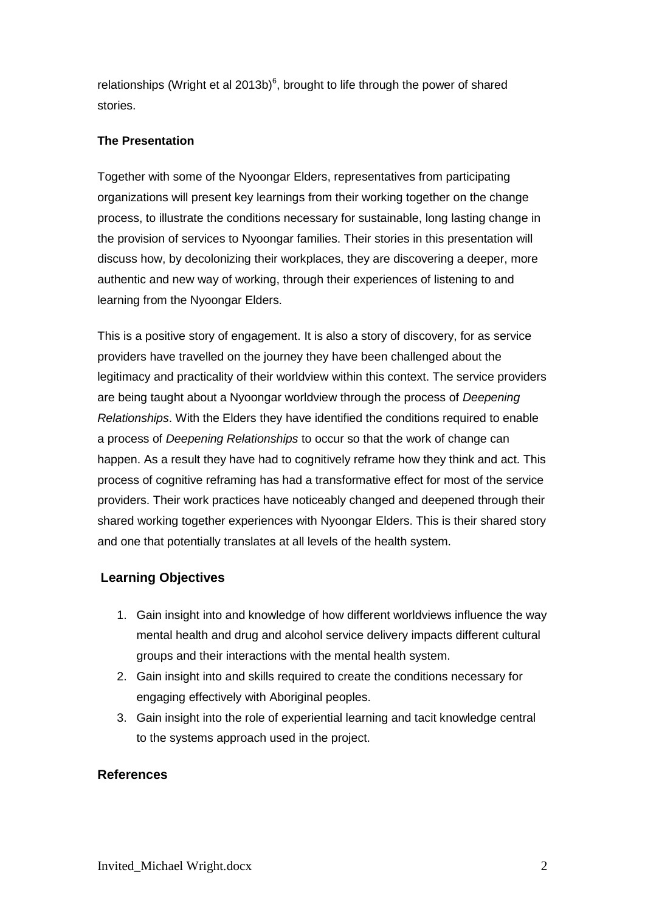relationships (Wright et al 2013b) $<sup>6</sup>$ , brought to life through the power of shared</sup> stories.

### **The Presentation**

Together with some of the Nyoongar Elders, representatives from participating organizations will present key learnings from their working together on the change process, to illustrate the conditions necessary for sustainable, long lasting change in the provision of services to Nyoongar families. Their stories in this presentation will discuss how, by decolonizing their workplaces, they are discovering a deeper, more authentic and new way of working, through their experiences of listening to and learning from the Nyoongar Elders.

This is a positive story of engagement. It is also a story of discovery, for as service providers have travelled on the journey they have been challenged about the legitimacy and practicality of their worldview within this context. The service providers are being taught about a Nyoongar worldview through the process of *Deepening Relationships*. With the Elders they have identified the conditions required to enable a process of *Deepening Relationships* to occur so that the work of change can happen. As a result they have had to cognitively reframe how they think and act. This process of cognitive reframing has had a transformative effect for most of the service providers. Their work practices have noticeably changed and deepened through their shared working together experiences with Nyoongar Elders. This is their shared story and one that potentially translates at all levels of the health system.

# **Learning Objectives**

- 1. Gain insight into and knowledge of how different worldviews influence the way mental health and drug and alcohol service delivery impacts different cultural groups and their interactions with the mental health system.
- 2. Gain insight into and skills required to create the conditions necessary for engaging effectively with Aboriginal peoples.
- 3. Gain insight into the role of experiential learning and tacit knowledge central to the systems approach used in the project.

# **References**